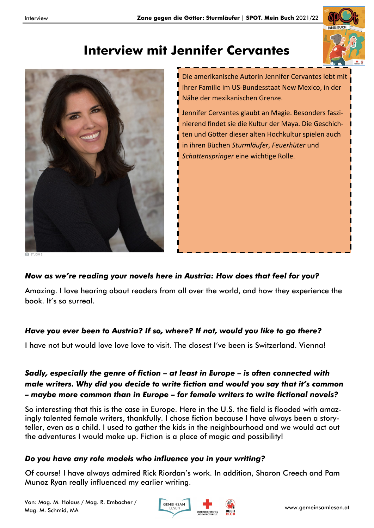

# **Interview mit Jennifer Cervantes**



Die amerikanische Autorin Jennifer Cervantes lebt mit ihrer Familie im US-Bundesstaat New Mexico, in der Nähe der mexikanischen Grenze.

Jennifer Cervantes glaubt an Magie. Besonders faszinierend findet sie die Kultur der Maya. Die Geschichten und Götter dieser alten Hochkultur spielen auch in ihren Büchen *Sturmläufer*, *Feuerhüter* und *Schattenspringer* eine wichtige Rolle.

**O** STUDIO E

#### *Now as we're reading your novels here in Austria: How does that feel for you?*

Amazing. I love hearing about readers from all over the world, and how they experience the book. It's so surreal.

#### *Have you ever been to Austria? If so, where? If not, would you like to go there?*

I have not but would love love love to visit. The closest I've been is Switzerland. Vienna!

#### *Sadly, especially the genre of fiction – at least in Europe – is often connected with male writers. Why did you decide to write fiction and would you say that it's common – maybe more common than in Europe – for female writers to write fictional novels?*

So interesting that this is the case in Europe. Here in the U.S. the field is flooded with amazingly talented female writers, thankfully. I chose fiction because I have always been a storyteller, even as a child. I used to gather the kids in the neighbourhood and we would act out the adventures I would make up. Fiction is a place of magic and possibility!

## *Do you have any role models who influence you in your writing?*

Of course! I have always admired Rick Riordan's work. In addition, Sharon Creech and Pam Munoz Ryan really influenced my earlier writing.